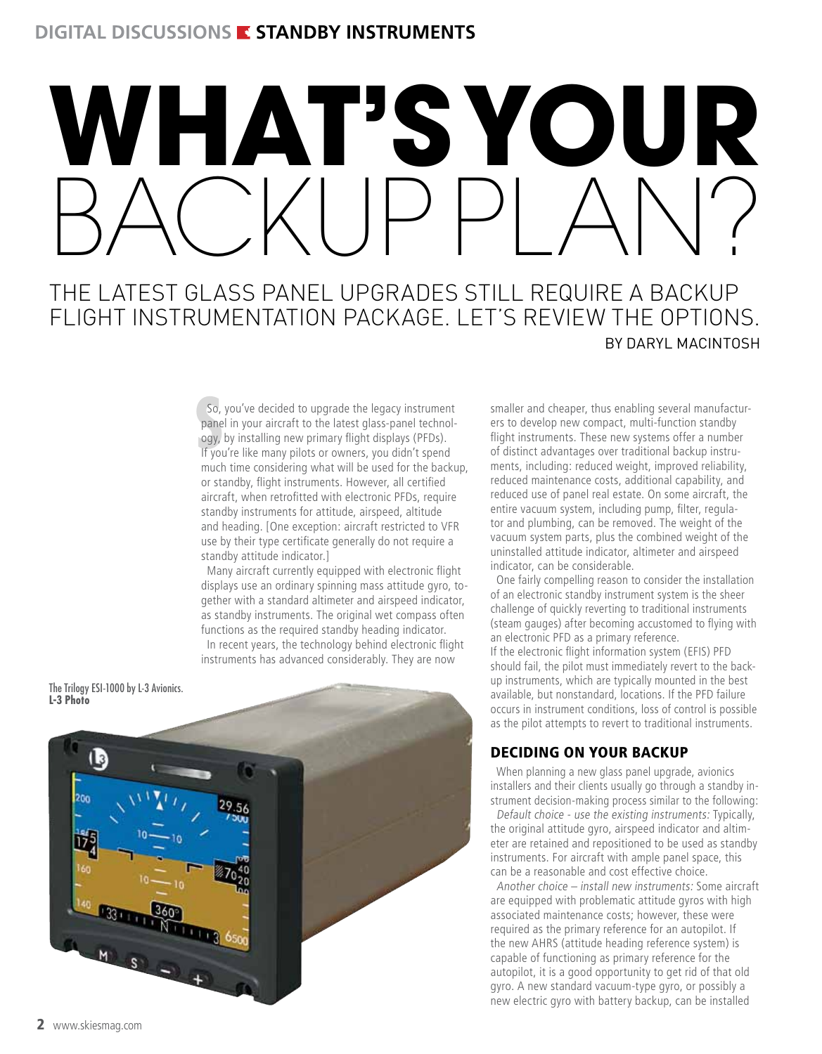# WHAT'S YOUR<br>RAT'S YOUR BACKUP PLAN?

# The latest glass panel upgrades still require a backup flight instrumentation package. Let's review the options. by Daryl MacIntosh

So, you've decided to upgrade the legacy instrument panel in your aircraft to the latest glass-panel technology, by installing new primary flight displays (PFDs). If you're like many pilots or owners, you didn't spend So, you've decided to upgrade the legacy instrument panel in your aircraft to the latest glass-panel technology, by installing new primary flight displays (PFDs). much time considering what will be used for the backup, or standby, flight instruments. However, all certified aircraft, when retrofitted with electronic PFDs, require standby instruments for attitude, airspeed, altitude and heading. [One exception: aircraft restricted to VFR use by their type certificate generally do not require a standby attitude indicator.]

Many aircraft currently equipped with electronic flight displays use an ordinary spinning mass attitude gyro, together with a standard altimeter and airspeed indicator, as standby instruments. The original wet compass often functions as the required standby heading indicator. In recent years, the technology behind electronic flight instruments has advanced considerably. They are now

The Trilogy ESI-1000 by L-3 Avionics. **L-3 Photo**



smaller and cheaper, thus enabling several manufacturers to develop new compact, multi-function standby flight instruments. These new systems offer a number of distinct advantages over traditional backup instruments, including: reduced weight, improved reliability, reduced maintenance costs, additional capability, and reduced use of panel real estate. On some aircraft, the entire vacuum system, including pump, filter, regulator and plumbing, can be removed. The weight of the vacuum system parts, plus the combined weight of the uninstalled attitude indicator, altimeter and airspeed indicator, can be considerable.

One fairly compelling reason to consider the installation of an electronic standby instrument system is the sheer challenge of quickly reverting to traditional instruments (steam gauges) after becoming accustomed to flying with an electronic PFD as a primary reference. If the electronic flight information system (EFIS) PFD should fail, the pilot must immediately revert to the backup instruments, which are typically mounted in the best available, but nonstandard, locations. If the PFD failure occurs in instrument conditions, loss of control is possible as the pilot attempts to revert to traditional instruments.

## Deciding on Your Backup

When planning a new glass panel upgrade, avionics installers and their clients usually go through a standby instrument decision-making process similar to the following:

Default choice - use the existing instruments: Typically, the original attitude gyro, airspeed indicator and altimeter are retained and repositioned to be used as standby instruments. For aircraft with ample panel space, this can be a reasonable and cost effective choice.

Another choice – install new instruments: Some aircraft are equipped with problematic attitude gyros with high associated maintenance costs; however, these were required as the primary reference for an autopilot. If the new AHRS (attitude heading reference system) is capable of functioning as primary reference for the autopilot, it is a good opportunity to get rid of that old gyro. A new standard vacuum-type gyro, or possibly a new electric gyro with battery backup, can be installed